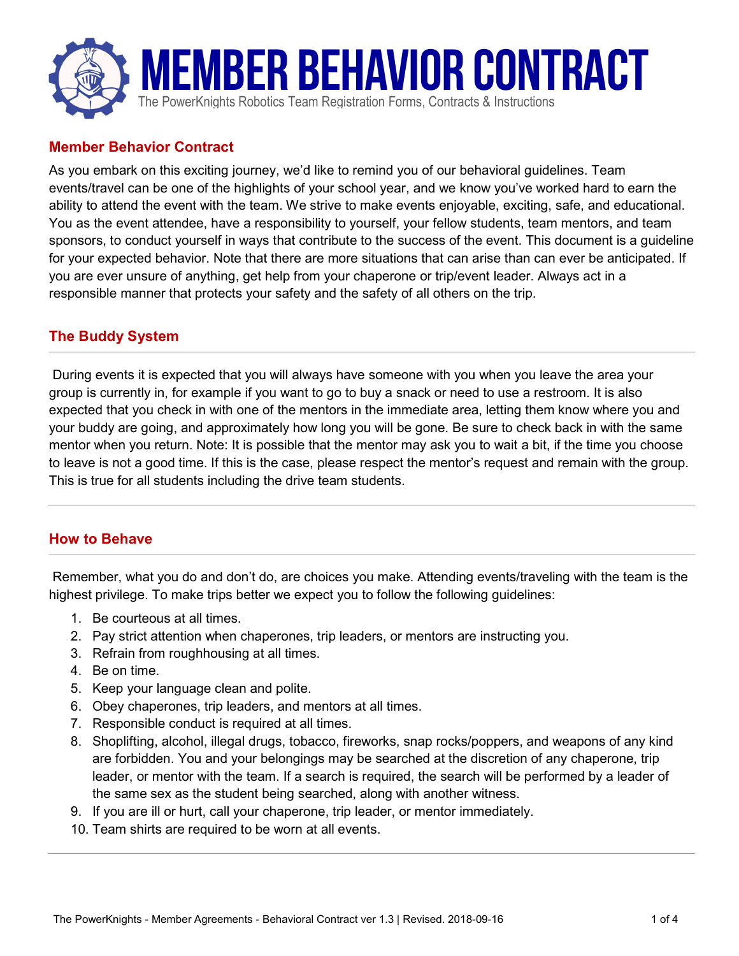

### Member Behavior Contract

As you embark on this exciting journey, we'd like to remind you of our behavioral guidelines. Team events/travel can be one of the highlights of your school year, and we know you've worked hard to earn the ability to attend the event with the team. We strive to make events enjoyable, exciting, safe, and educational. You as the event attendee, have a responsibility to yourself, your fellow students, team mentors, and team sponsors, to conduct yourself in ways that contribute to the success of the event. This document is a guideline for your expected behavior. Note that there are more situations that can arise than can ever be anticipated. If you are ever unsure of anything, get help from your chaperone or trip/event leader. Always act in a responsible manner that protects your safety and the safety of all others on the trip.

## The Buddy System

 During events it is expected that you will always have someone with you when you leave the area your group is currently in, for example if you want to go to buy a snack or need to use a restroom. It is also expected that you check in with one of the mentors in the immediate area, letting them know where you and your buddy are going, and approximately how long you will be gone. Be sure to check back in with the same mentor when you return. Note: It is possible that the mentor may ask you to wait a bit, if the time you choose to leave is not a good time. If this is the case, please respect the mentor's request and remain with the group. This is true for all students including the drive team students.

#### How to Behave

 Remember, what you do and don't do, are choices you make. Attending events/traveling with the team is the highest privilege. To make trips better we expect you to follow the following guidelines:

- 1. Be courteous at all times.
- 2. Pay strict attention when chaperones, trip leaders, or mentors are instructing you.
- 3. Refrain from roughhousing at all times.
- 4. Be on time.
- 5. Keep your language clean and polite.
- 6. Obey chaperones, trip leaders, and mentors at all times.
- 7. Responsible conduct is required at all times.
- 8. Shoplifting, alcohol, illegal drugs, tobacco, fireworks, snap rocks/poppers, and weapons of any kind are forbidden. You and your belongings may be searched at the discretion of any chaperone, trip leader, or mentor with the team. If a search is required, the search will be performed by a leader of the same sex as the student being searched, along with another witness.
- 9. If you are ill or hurt, call your chaperone, trip leader, or mentor immediately.
- 10. Team shirts are required to be worn at all events.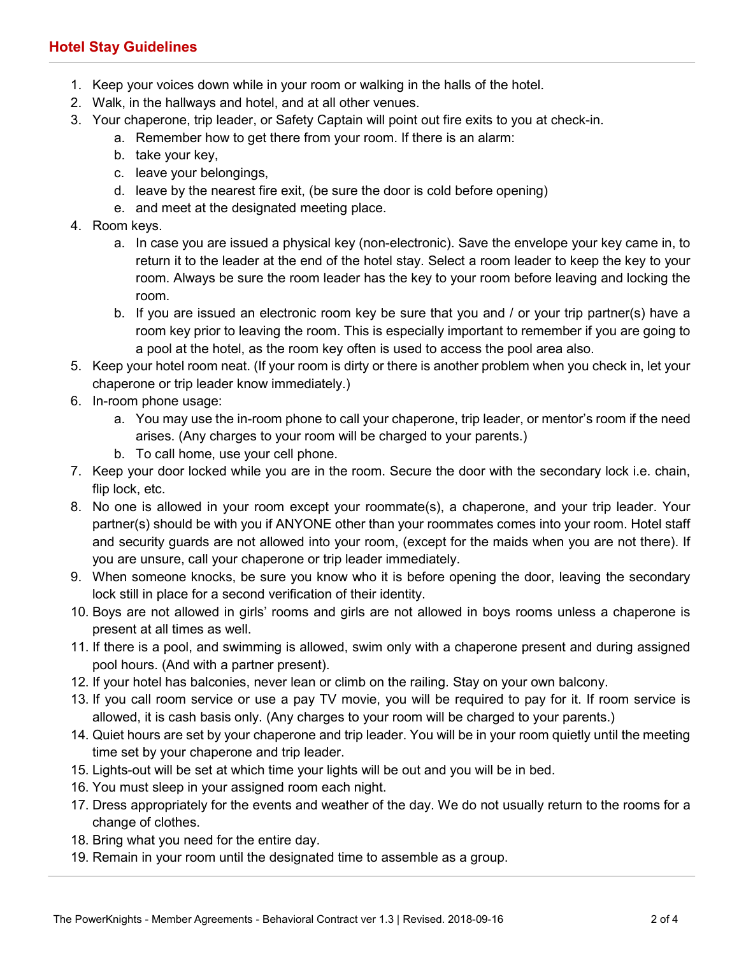# Hotel Stay Guidelines

- 1. Keep your voices down while in your room or walking in the halls of the hotel.
- 2. Walk, in the hallways and hotel, and at all other venues.
- 3. Your chaperone, trip leader, or Safety Captain will point out fire exits to you at check-in.
	- a. Remember how to get there from your room. If there is an alarm:
	- b. take your key,
	- c. leave your belongings,
	- d. leave by the nearest fire exit, (be sure the door is cold before opening)
	- e. and meet at the designated meeting place.
- 4. Room keys.
	- a. In case you are issued a physical key (non-electronic). Save the envelope your key came in, to return it to the leader at the end of the hotel stay. Select a room leader to keep the key to your room. Always be sure the room leader has the key to your room before leaving and locking the room.
	- b. If you are issued an electronic room key be sure that you and / or your trip partner(s) have a room key prior to leaving the room. This is especially important to remember if you are going to a pool at the hotel, as the room key often is used to access the pool area also.
- 5. Keep your hotel room neat. (If your room is dirty or there is another problem when you check in, let your chaperone or trip leader know immediately.)
- 6. In-room phone usage:
	- a. You may use the in-room phone to call your chaperone, trip leader, or mentor's room if the need arises. (Any charges to your room will be charged to your parents.)
	- b. To call home, use your cell phone.
- 7. Keep your door locked while you are in the room. Secure the door with the secondary lock i.e. chain, flip lock, etc.
- 8. No one is allowed in your room except your roommate(s), a chaperone, and your trip leader. Your partner(s) should be with you if ANYONE other than your roommates comes into your room. Hotel staff and security guards are not allowed into your room, (except for the maids when you are not there). If you are unsure, call your chaperone or trip leader immediately.
- 9. When someone knocks, be sure you know who it is before opening the door, leaving the secondary lock still in place for a second verification of their identity.
- 10. Boys are not allowed in girls' rooms and girls are not allowed in boys rooms unless a chaperone is present at all times as well.
- 11. If there is a pool, and swimming is allowed, swim only with a chaperone present and during assigned pool hours. (And with a partner present).
- 12. If your hotel has balconies, never lean or climb on the railing. Stay on your own balcony.
- 13. If you call room service or use a pay TV movie, you will be required to pay for it. If room service is allowed, it is cash basis only. (Any charges to your room will be charged to your parents.)
- 14. Quiet hours are set by your chaperone and trip leader. You will be in your room quietly until the meeting time set by your chaperone and trip leader.
- 15. Lights-out will be set at which time your lights will be out and you will be in bed.
- 16. You must sleep in your assigned room each night.
- 17. Dress appropriately for the events and weather of the day. We do not usually return to the rooms for a change of clothes.
- 18. Bring what you need for the entire day.
- 19. Remain in your room until the designated time to assemble as a group.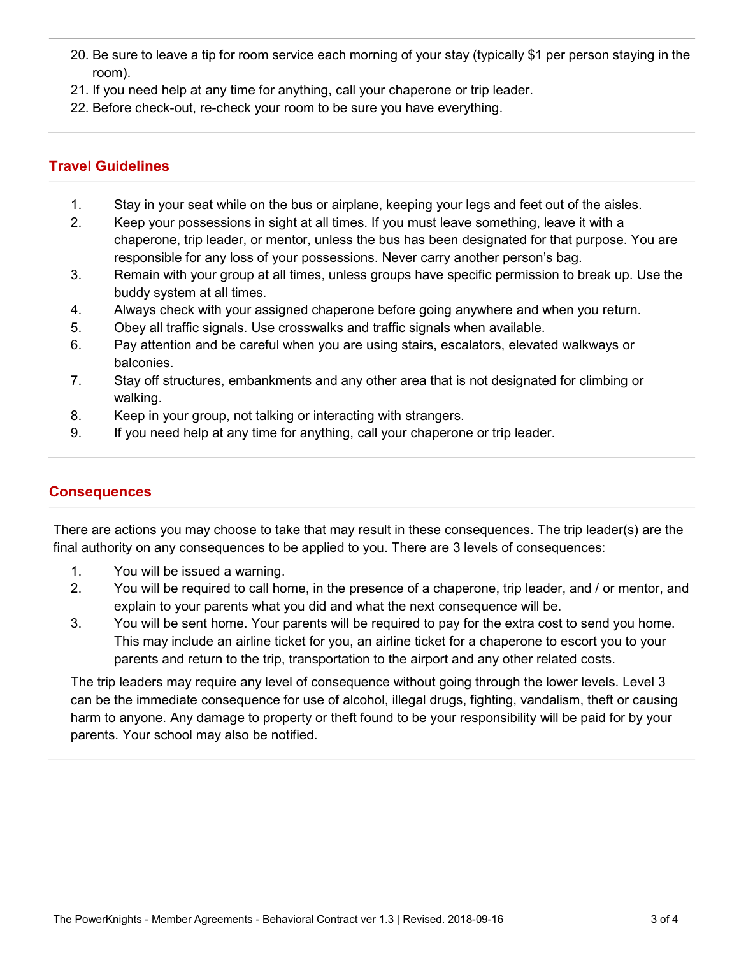- 20. Be sure to leave a tip for room service each morning of your stay (typically \$1 per person staying in the room).
- 21. If you need help at any time for anything, call your chaperone or trip leader.
- 22. Before check-out, re-check your room to be sure you have everything.

# Travel Guidelines

- 1. Stay in your seat while on the bus or airplane, keeping your legs and feet out of the aisles.
- 2. Keep your possessions in sight at all times. If you must leave something, leave it with a chaperone, trip leader, or mentor, unless the bus has been designated for that purpose. You are responsible for any loss of your possessions. Never carry another person's bag.
- 3. Remain with your group at all times, unless groups have specific permission to break up. Use the buddy system at all times.
- 4. Always check with your assigned chaperone before going anywhere and when you return.
- 5. Obey all traffic signals. Use crosswalks and traffic signals when available.
- 6. Pay attention and be careful when you are using stairs, escalators, elevated walkways or balconies.
- 7. Stay off structures, embankments and any other area that is not designated for climbing or walking.
- 8. Keep in your group, not talking or interacting with strangers.
- 9. If you need help at any time for anything, call your chaperone or trip leader.

#### **Consequences**

There are actions you may choose to take that may result in these consequences. The trip leader(s) are the final authority on any consequences to be applied to you. There are 3 levels of consequences:

- 1. You will be issued a warning.
- 2. You will be required to call home, in the presence of a chaperone, trip leader, and / or mentor, and explain to your parents what you did and what the next consequence will be.
- 3. You will be sent home. Your parents will be required to pay for the extra cost to send you home. This may include an airline ticket for you, an airline ticket for a chaperone to escort you to your parents and return to the trip, transportation to the airport and any other related costs.

The trip leaders may require any level of consequence without going through the lower levels. Level 3 can be the immediate consequence for use of alcohol, illegal drugs, fighting, vandalism, theft or causing harm to anyone. Any damage to property or theft found to be your responsibility will be paid for by your parents. Your school may also be notified.